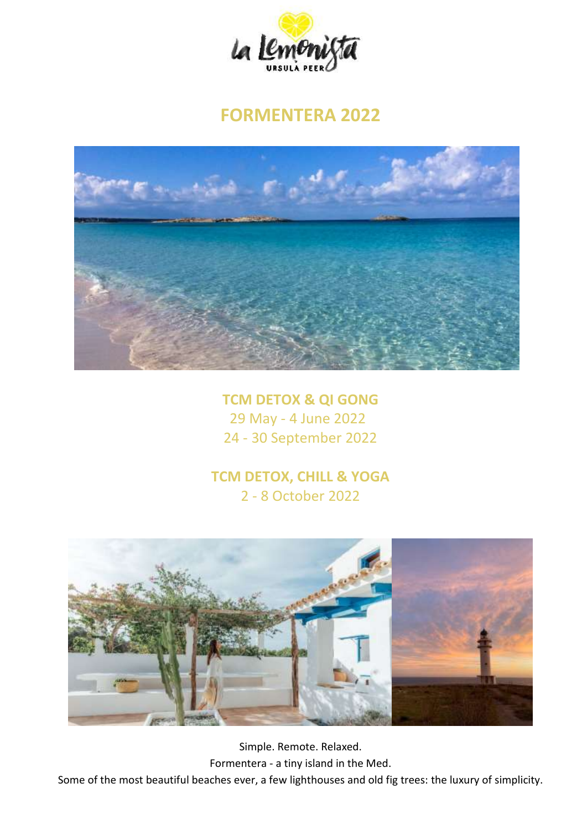

# **FORMENTERA 2022**



**TCM DETOX & QI GONG** 29 May - 4 June 2022 24 - 30 September 2022

## **TCM DETOX, CHILL & YOGA** 2 - 8 October 2022



Simple. Remote. Relaxed. Formentera - a tiny island in the Med. Some of the most beautiful beaches ever, a few lighthouses and old fig trees: the luxury of simplicity.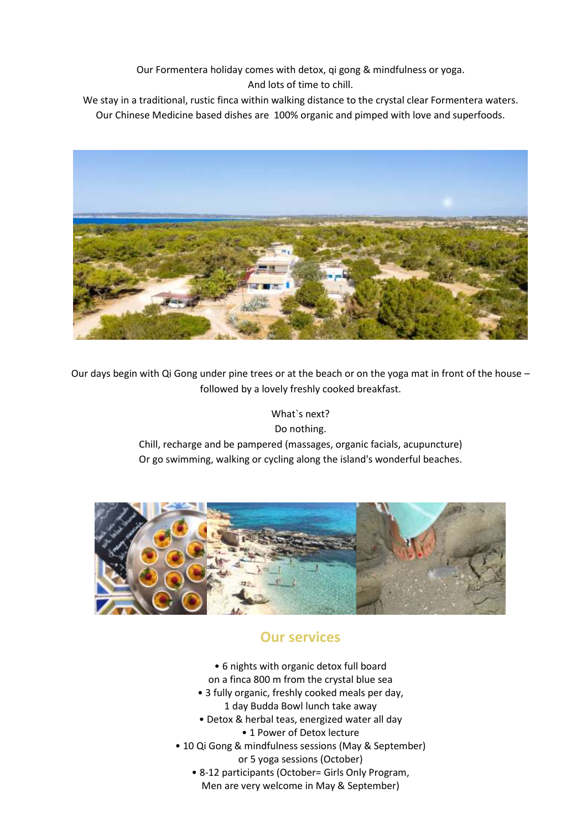Our Formentera holiday comes with detox, qi gong & mindfulness or yoga. And lots of time to chill.

We stay in a traditional, rustic finca within walking distance to the crystal clear Formentera waters. Our Chinese Medicine based dishes are 100% organic and pimped with love and superfoods.



Our days begin with Qi Gong under pine trees or at the beach or on the yoga mat in front of the house – followed by a lovely freshly cooked breakfast.

> What`s next? Do nothing. Chill, recharge and be pampered (massages, organic facials, acupuncture) Or go swimming, walking or cycling along the island's wonderful beaches.



## **Our services**

- 6 nights with organic detox full board
- on a finca 800 m from the crystal blue sea
- 3 fully organic, freshly cooked meals per day,
	- 1 day Budda Bowl lunch take away
- Detox & herbal teas, energized water all day • 1 Power of Detox lecture
- 10 Qi Gong & mindfulness sessions (May & September)
	- or 5 yoga sessions (October)
	- 8-12 participants (October= Girls Only Program, Men are very welcome in May & September)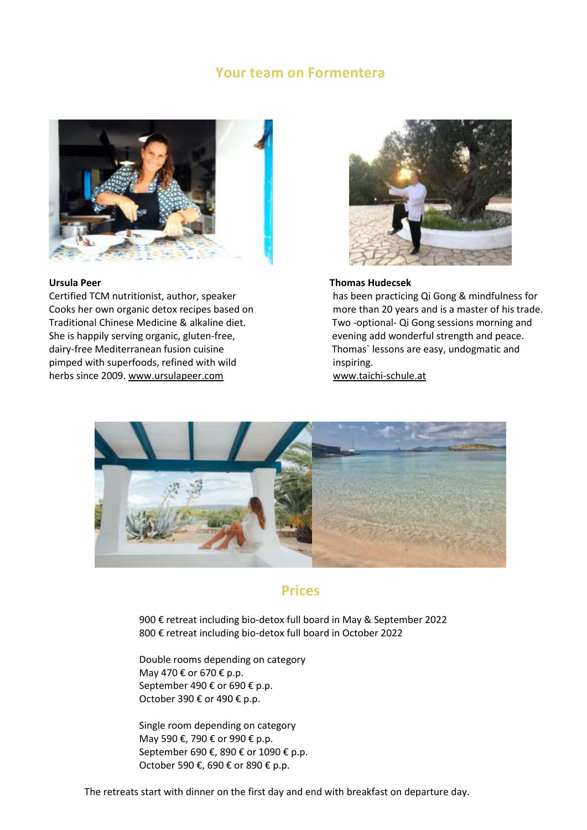### **Your team on Formentera**



Traditional Chinese Medicine & alkaline diet. Two -optional- Qi Gong sessions morning and She is happily serving organic, gluten-free, event and peace over ing add wonderful strength and peace. dairy-free Mediterranean fusion cuisine Thomas` lessons are easy, undogmatic and pimped with superfoods, refined with wild inspiring. herbs since 2009. [www.ursulapeer.com](http://www.ursulapeer.com/) [www.taichi-schule.at](http://www.taichi-schule.at/)



### **Ursula Peer Thomas Hudecsek**

Certified TCM nutritionist, author, speaker has been practicing Qi Gong & mindfulness for Cooks her own organic detox recipes based on more than 20 years and is a master of his trade.



### **Prices**

900 € retreat including bio-detox full board in May & September 2022 800 € retreat including bio-detox full board in October 2022

Double rooms depending on category May 470 € or 670 € p.p. September 490 € or 690 € p.p. October 390 € or 490 € p.p.

Single room depending on category May 590 €, 790 € or 990 € p.p. September 690 €, 890 € or 1090 € p.p. October 590 €, 690 € or 890 € p.p.